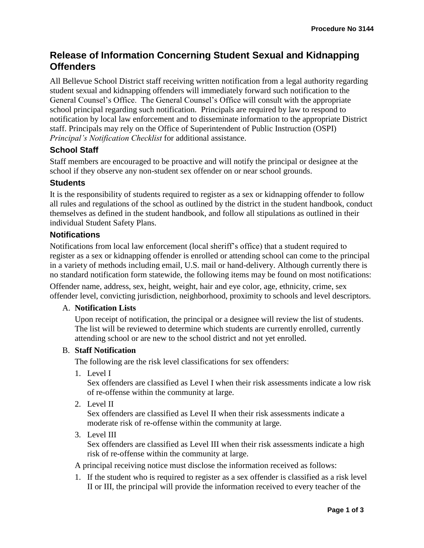# **Release of Information Concerning Student Sexual and Kidnapping Offenders**

All Bellevue School District staff receiving written notification from a legal authority regarding student sexual and kidnapping offenders will immediately forward such notification to the General Counsel's Office. The General Counsel's Office will consult with the appropriate school principal regarding such notification. Principals are required by law to respond to notification by local law enforcement and to disseminate information to the appropriate District staff. Principals may rely on the Office of Superintendent of Public Instruction (OSPI) *Principal's Notification Checklist* for additional assistance.

# **School Staff**

Staff members are encouraged to be proactive and will notify the principal or designee at the school if they observe any non-student sex offender on or near school grounds.

### **Students**

It is the responsibility of students required to register as a sex or kidnapping offender to follow all rules and regulations of the school as outlined by the district in the student handbook, conduct themselves as defined in the student handbook, and follow all stipulations as outlined in their individual Student Safety Plans.

### **Notifications**

Notifications from local law enforcement (local sheriff's office) that a student required to register as a sex or kidnapping offender is enrolled or attending school can come to the principal in a variety of methods including email, U.S. mail or hand-delivery. Although currently there is no standard notification form statewide, the following items may be found on most notifications:

Offender name, address, sex, height, weight, hair and eye color, age, ethnicity, crime, sex offender level, convicting jurisdiction, neighborhood, proximity to schools and level descriptors.

#### A. **Notification Lists**

Upon receipt of notification, the principal or a designee will review the list of students. The list will be reviewed to determine which students are currently enrolled, currently attending school or are new to the school district and not yet enrolled.

#### B. **Staff Notification**

The following are the risk level classifications for sex offenders:

1. Level I

Sex offenders are classified as Level I when their risk assessments indicate a low risk of re-offense within the community at large.

2. Level II

Sex offenders are classified as Level II when their risk assessments indicate a moderate risk of re-offense within the community at large.

3. Level III

Sex offenders are classified as Level III when their risk assessments indicate a high risk of re-offense within the community at large.

A principal receiving notice must disclose the information received as follows:

1. If the student who is required to register as a sex offender is classified as a risk level II or III, the principal will provide the information received to every teacher of the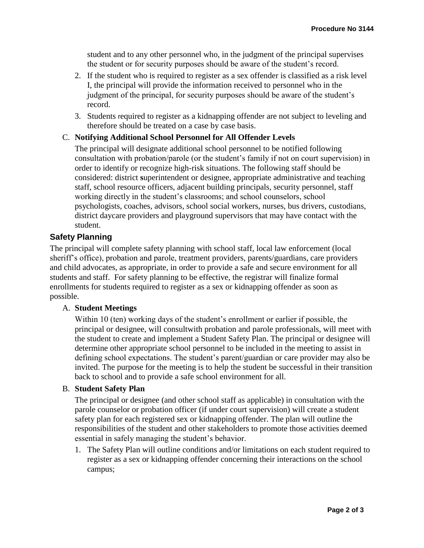student and to any other personnel who, in the judgment of the principal supervises the student or for security purposes should be aware of the student's record.

- 2. If the student who is required to register as a sex offender is classified as a risk level I, the principal will provide the information received to personnel who in the judgment of the principal, for security purposes should be aware of the student's record.
- 3. Students required to register as a kidnapping offender are not subject to leveling and therefore should be treated on a case by case basis.

### C. **Notifying Additional School Personnel for All Offender Levels**

The principal will designate additional school personnel to be notified following consultation with probation/parole (or the student's family if not on court supervision) in order to identify or recognize high-risk situations. The following staff should be considered: district **s**uperintendent or designee, appropriate administrative and teaching staff, school resource officers, adjacent building principals, security personnel, staff working directly in the student's classrooms; and school counselors, school psychologists, coaches, advisors, school social workers, nurses, bus drivers, custodians, district daycare providers and playground supervisors that may have contact with the student.

## **Safety Planning**

The principal will complete safety planning with school staff, local law enforcement (local sheriff's office), probation and parole, treatment providers, parents/guardians, care providers and child advocates, as appropriate, in order to provide a safe and secure environment for all students and staff. For safety planning to be effective, the registrar will finalize formal enrollments for students required to register as a sex or kidnapping offender as soon as possible.

#### A. **Student Meetings**

Within 10 (ten) working days of the student's enrollment or earlier if possible, the principal or designee, will consultwith probation and parole professionals, will meet with the student to create and implement a Student Safety Plan. The principal or designee will determine other appropriate school personnel to be included in the meeting to assist in defining school expectations. The student's parent/guardian or care provider may also be invited. The purpose for the meeting is to help the student be successful in their transition back to school and to provide a safe school environment for all.

#### B. **Student Safety Plan**

The principal or designee (and other school staff as applicable) in consultation with the parole counselor or probation officer (if under court supervision) will create a student safety plan for each registered sex or kidnapping offender. The plan will outline the responsibilities of the student and other stakeholders to promote those activities deemed essential in safely managing the student's behavior.

1. The Safety Plan will outline conditions and/or limitations on each student required to register as a sex or kidnapping offender concerning their interactions on the school campus;